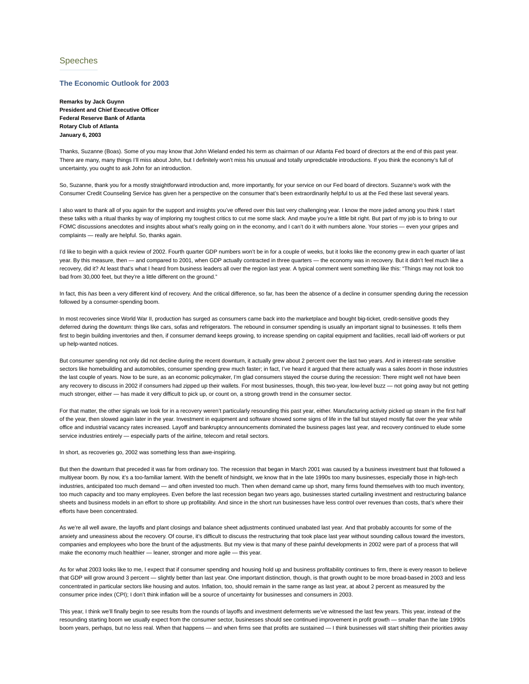## Speeches

## **The Economic Outlook for 2003**

**Remarks by Jack Guynn President and Chief Executive Officer Federal Reserve Bank of Atlanta Rotary Club of Atlanta January 6, 2003**

Thanks, Suzanne (Boas). Some of you may know that John Wieland ended his term as chairman of our Atlanta Fed board of directors at the end of this past year. There are many, many things I'll miss about John, but I definitely won't miss his unusual and totally unpredictable introductions. If you think the economy's full of uncertainty, you ought to ask John for an introduction.

So, Suzanne, thank you for a mostly straightforward introduction and, more importantly, for your service on our Fed board of directors. Suzanne's work with the Consumer Credit Counseling Service has given her a perspective on the consumer that's been extraordinarily helpful to us at the Fed these last several years.

I also want to thank all of you again for the support and insights you've offered over this last very challenging year. I know the more jaded among you think I start these talks with a ritual thanks by way of imploring my toughest critics to cut me some slack. And maybe you're a little bit right. But part of my job is to bring to our FOMC discussions anecdotes and insights about what's really going on in the economy, and I can't do it with numbers alone. Your stories - even your gripes and complaints — really are helpful. So, thanks again.

I'd like to begin with a quick review of 2002. Fourth quarter GDP numbers won't be in for a couple of weeks, but it looks like the economy grew in each quarter of last year. By this measure, then — and compared to 2001, when GDP actually contracted in three quarters — the economy was in recovery. But it didn't feel much like a recovery, did it? At least that's what I heard from business leaders all over the region last year. A typical comment went something like this: "Things may not look too bad from 30,000 feet, but they're a little different on the ground."

In fact, this *has* been a very different kind of recovery. And the critical difference, so far, has been the absence of a decline in consumer spending during the recession followed by a consumer-spending boom.

In most recoveries since World War II, production has surged as consumers came back into the marketplace and bought big-ticket, credit-sensitive goods they deferred during the downturn: things like cars, sofas and refrigerators. The rebound in consumer spending is usually an important signal to businesses. It tells them first to begin building inventories and then, if consumer demand keeps growing, to increase spending on capital equipment and facilities, recall laid-off workers or put up help-wanted notices.

But consumer spending not only did not decline during the recent downturn, it actually grew about 2 percent over the last two years. And in interest-rate sensitive sectors like homebuilding and automobiles, consumer spending grew much faster; in fact, I've heard it argued that there actually was a sales *boom* in those industries the last couple of years. Now to be sure, as an economic policymaker, I'm glad consumers stayed the course during the recession: There might well not have been any recovery to discuss in 2002 if consumers had zipped up their wallets. For most businesses, though, this two-year, low-level buzz — not going away but not getting much stronger, either — has made it very difficult to pick up, or count on, a strong growth trend in the consumer sector.

For that matter, the other signals we look for in a recovery weren't particularly resounding this past year, either. Manufacturing activity picked up steam in the first half of the year, then slowed again later in the year. Investment in equipment and software showed some signs of life in the fall but stayed mostly flat over the year while office and industrial vacancy rates increased. Layoff and bankruptcy announcements dominated the business pages last year, and recovery continued to elude some service industries entirely - especially parts of the airline, telecom and retail sectors.

In short, as recoveries go, 2002 was something less than awe-inspiring.

But then the downturn that preceded it was far from ordinary too. The recession that began in March 2001 was caused by a business investment bust that followed a multiyear boom. By now, it's a too-familiar lament. With the benefit of hindsight, we know that in the late 1990s too many businesses, especially those in high-tech industries, anticipated too much demand — and often invested too much. Then when demand came up short, many firms found themselves with too much inventory, too much capacity and too many employees. Even before the last recession began two years ago, businesses started curtailing investment and restructuring balance sheets and business models in an effort to shore up profitability. And since in the short run businesses have less control over revenues than costs, that's where their efforts have been concentrated.

As we're all well aware, the layoffs and plant closings and balance sheet adjustments continued unabated last year. And that probably accounts for some of the anxiety and uneasiness about the recovery. Of course, it's difficult to discuss the restructuring that took place last year without sounding callous toward the investors, companies and employees who bore the brunt of the adjustments. But my view is that many of these painful developments in 2002 were part of a process that will make the economy much healthier — leaner, stronger and more agile — this year.

As for what 2003 looks like to me, I expect that if consumer spending and housing hold up and business profitability continues to firm, there is every reason to believe that GDP will grow around 3 percent — slightly better than last year. One important distinction, though, is that growth ought to be more broad-based in 2003 and less concentrated in particular sectors like housing and autos. Inflation, too, should remain in the same range as last year, at about 2 percent as measured by the consumer price index (CPI); I don't think inflation will be a source of uncertainty for businesses and consumers in 2003.

This year, I think we'll finally begin to see results from the rounds of layoffs and investment deferments we've witnessed the last few years. This year, instead of the resounding starting boom we usually expect from the consumer sector, businesses should see continued improvement in profit growth - smaller than the late 1990s boom years, perhaps, but no less real. When that happens — and when firms see that profits are sustained — I think businesses will start shifting their priorities away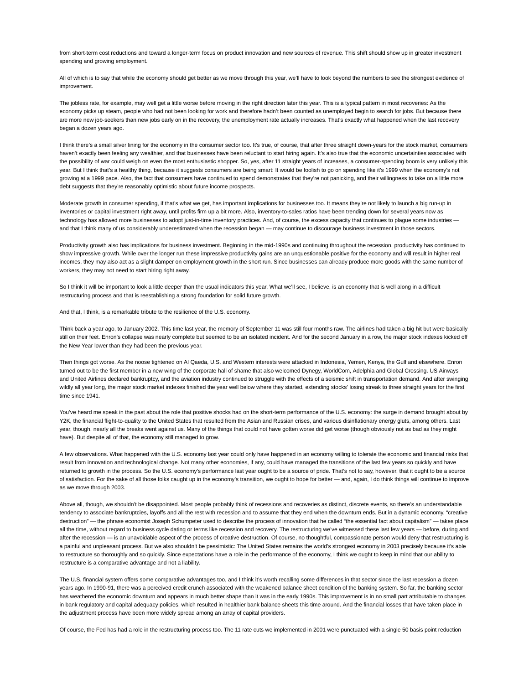from short-term cost reductions and toward a longer-term focus on product innovation and new sources of revenue. This shift should show up in greater investment spending and growing employment.

All of which is to say that while the economy should get better as we move through this year, we'll have to look beyond the numbers to see the strongest evidence of improvement.

The jobless rate, for example, may well get a little worse before moving in the right direction later this year. This is a typical pattern in most recoveries: As the economy picks up steam, people who had not been looking for work and therefore hadn't been counted as unemployed begin to search for jobs. But because there are more new job-seekers than new jobs early on in the recovery, the unemployment rate actually increases. That's exactly what happened when the last recovery began a dozen years ago.

I think there's a small silver lining for the economy in the consumer sector too. It's true, of course, that after three straight down-years for the stock market, consumers haven't exactly been feeling any wealthier, and that businesses have been reluctant to start hiring again. It's also true that the economic uncertainties associated with the possibility of war could weigh on even the most enthusiastic shopper. So, yes, after 11 straight years of increases, a consumer-spending boom is very unlikely this year. But I think that's a healthy thing, because it suggests consumers are being smart: It would be foolish to go on spending like it's 1999 when the economy's not growing at a 1999 pace. Also, the fact that consumers have continued to spend demonstrates that they're not panicking, and their willingness to take on a little more debt suggests that they're reasonably optimistic about future income prospects.

Moderate growth in consumer spending, if that's what we get, has important implications for businesses too. It means they're not likely to launch a big run-up in inventories or capital investment right away, until profits firm up a bit more. Also, inventory-to-sales ratios have been trending down for several years now as technology has allowed more businesses to adopt just-in-time inventory practices. And, of course, the excess capacity that continues to plague some industries and that I think many of us considerably underestimated when the recession began — may continue to discourage business investment in those sectors.

Productivity growth also has implications for business investment. Beginning in the mid-1990s and continuing throughout the recession, productivity has continued to show impressive growth. While over the longer run these impressive productivity gains are an unquestionable positive for the economy and will result in higher real incomes, they may also act as a slight damper on employment growth in the short run. Since businesses can already produce more goods with the same number of workers, they may not need to start hiring right away.

So I think it will be important to look a little deeper than the usual indicators this year. What we'll see, I believe, is an economy that is well along in a difficult restructuring process and that is reestablishing a strong foundation for solid future growth.

And that, I think, is a remarkable tribute to the resilience of the U.S. economy.

Think back a year ago, to January 2002. This time last year, the memory of September 11 was still four months raw. The airlines had taken a big hit but were basically still on their feet. Enron's collapse was nearly complete but seemed to be an isolated incident. And for the second January in a row, the major stock indexes kicked off the New Year lower than they had been the previous year.

Then things got worse. As the noose tightened on Al Qaeda, U.S. and Western interests were attacked in Indonesia, Yemen, Kenya, the Gulf and elsewhere. Enron turned out to be the first member in a new wing of the corporate hall of shame that also welcomed Dynegy, WorldCom, Adelphia and Global Crossing. US Airways and United Airlines declared bankruptcy, and the aviation industry continued to struggle with the effects of a seismic shift in transportation demand. And after swinging wildly all year long, the major stock market indexes finished the year well below where they started, extending stocks' losing streak to three straight years for the first time since 1941.

You've heard me speak in the past about the role that positive shocks had on the short-term performance of the U.S. economy: the surge in demand brought about by Y2K, the financial flight-to-quality to the United States that resulted from the Asian and Russian crises, and various disinflationary energy gluts, among others. Last year, though, nearly all the breaks went against us. Many of the things that could not have gotten worse did get worse (though obviously not as bad as they might have). But despite all of that, the economy still managed to grow.

A few observations. What happened with the U.S. economy last year could only have happened in an economy willing to tolerate the economic and financial risks that result from innovation and technological change. Not many other economies, if any, could have managed the transitions of the last few years so quickly and have returned to growth in the process. So the U.S. economy's performance last year ought to be a source of pride. That's not to say, however, that it ought to be a source of satisfaction. For the sake of all those folks caught up in the economy's transition, we ought to hope for better — and, again, I do think things will continue to improve as we move through 2003.

Above all, though, we shouldn't be disappointed. Most people probably think of recessions and recoveries as distinct, discrete events, so there's an understandable tendency to associate bankruptcies, layoffs and all the rest with recession and to assume that they end when the downturn ends. But in a dynamic economy, "creative destruction" — the phrase economist Joseph Schumpeter used to describe the process of innovation that he called "the essential fact about capitalism" — takes place all the time, without regard to business cycle dating or terms like recession and recovery. The restructuring we've witnessed these last few years — before, during and after the recession — is an unavoidable aspect of the process of creative destruction. Of course, no thoughtful, compassionate person would deny that restructuring is a painful and unpleasant process. But we also shouldn't be pessimistic: The United States remains the world's strongest economy in 2003 precisely because it's able to restructure so thoroughly and so quickly. Since expectations have a role in the performance of the economy, I think we ought to keep in mind that our ability to restructure is a comparative advantage and not a liability.

The U.S. financial system offers some comparative advantages too, and I think it's worth recalling some differences in that sector since the last recession a dozen years ago. In 1990-91, there was a perceived credit crunch associated with the weakened balance sheet condition of the banking system. So far, the banking sector has weathered the economic downturn and appears in much better shape than it was in the early 1990s. This improvement is in no small part attributable to changes in bank regulatory and capital adequacy policies, which resulted in healthier bank balance sheets this time around. And the financial losses that have taken place in the adjustment process have been more widely spread among an array of capital providers.

Of course, the Fed has had a role in the restructuring process too. The 11 rate cuts we implemented in 2001 were punctuated with a single 50 basis point reduction